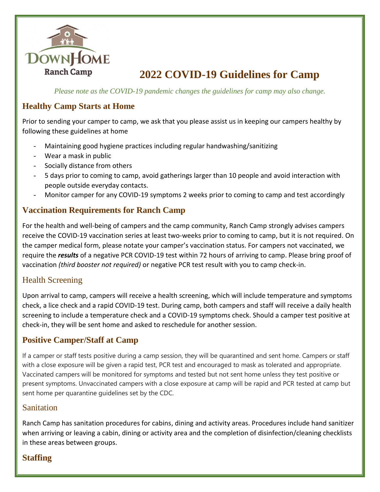

# **2022 COVID-19 Guidelines for Camp**

*Please note as the COVID-19 pandemic changes the guidelines for camp may also change.* 

#### **Healthy Camp Starts at Home**

Prior to sending your camper to camp, we ask that you please assist us in keeping our campers healthy by following these guidelines at home

- Maintaining good hygiene practices including regular handwashing/sanitizing
- Wear a mask in public
- Socially distance from others
- 5 days prior to coming to camp, avoid gatherings larger than 10 people and avoid interaction with people outside everyday contacts.
- Monitor camper for any COVID-19 symptoms 2 weeks prior to coming to camp and test accordingly

### **Vaccination Requirements for Ranch Camp**

For the health and well-being of campers and the camp community, Ranch Camp strongly advises campers receive the COVID-19 vaccination series at least two-weeks prior to coming to camp, but it is not required. On the camper medical form, please notate your camper's vaccination status. For campers not vaccinated, we require the *results* of a negative PCR COVID-19 test within 72 hours of arriving to camp. Please bring proof of vaccination *(third booster not required)* or negative PCR test result with you to camp check-in.

#### Health Screening

Upon arrival to camp, campers will receive a health screening, which will include temperature and symptoms check, a lice check and a rapid COVID-19 test. During camp, both campers and staff will receive a daily health screening to include a temperature check and a COVID-19 symptoms check. Should a camper test positive at check-in, they will be sent home and asked to reschedule for another session.

#### **Positive Camper/Staff at Camp**

If a camper or staff tests positive during a camp session, they will be quarantined and sent home. Campers or staff with a close exposure will be given a rapid test, PCR test and encouraged to mask as tolerated and appropriate. Vaccinated campers will be monitored for symptoms and tested but not sent home unless they test positive or present symptoms. Unvaccinated campers with a close exposure at camp will be rapid and PCR tested at camp but sent home per quarantine guidelines set by the CDC.

#### Sanitation

Ranch Camp has sanitation procedures for cabins, dining and activity areas. Procedures include hand sanitizer when arriving or leaving a cabin, dining or activity area and the completion of disinfection/cleaning checklists in these areas between groups.

## **Staffing**